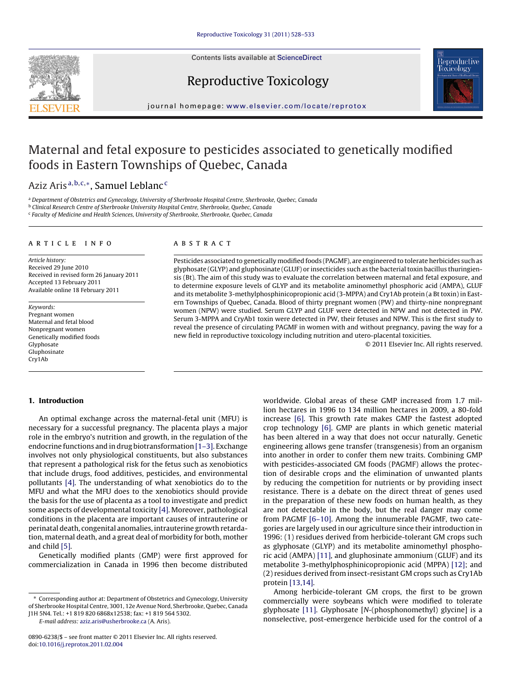Contents lists available at [ScienceDirect](http://www.sciencedirect.com/science/journal/08906238)







journal homepage: [www.elsevier.com/locate/reprotox](http://www.elsevier.com/locate/reprotox)

# Maternal and fetal exposure to pesticides associated to genetically modified foods in Eastern Townships of Quebec, Canada

# Aziz Aris<sup>a, b, c,∗</sup>, Samuel Leblanc<sup>c</sup>

<sup>a</sup> Department of Obstetrics and Gynecology, University of Sherbrooke Hospital Centre, Sherbrooke, Quebec, Canada

<sup>b</sup> Clinical Research Centre of Sherbrooke University Hospital Centre, Sherbrooke, Quebec, Canada

<sup>c</sup> Faculty of Medicine and Health Sciences, University of Sherbrooke, Sherbrooke, Quebec, Canada

# article info

Article history: Received 29 June 2010 Received in revised form 26 January 2011 Accepted 13 February 2011 Available online 18 February 2011

Keywords: Pregnant women Maternal and fetal blood Nonpregnant women Genetically modified foods Glyphosate Gluphosinate Cry1Ab

## ABSTRACT

Pesticides associated to genetically modified foods (PAGMF), are engineered to tolerate herbicides such as glyphosate (GLYP) and gluphosinate (GLUF) or insecticides such as the bacterial toxin bacillus thuringiensis (Bt). The aim of this study was to evaluate the correlation between maternal and fetal exposure, and to determine exposure levels of GLYP and its metabolite aminomethyl phosphoric acid (AMPA), GLUF and its metabolite 3-methylphosphinicopropionic acid (3-MPPA) and Cry1Ab protein (a Bt toxin) in Eastern Townships of Quebec, Canada. Blood of thirty pregnant women (PW) and thirty-nine nonpregnant women (NPW) were studied. Serum GLYP and GLUF were detected in NPW and not detected in PW. Serum 3-MPPA and CryAb1 toxin were detected in PW, their fetuses and NPW. This is the first study to reveal the presence of circulating PAGMF in women with and without pregnancy, paving the way for a new field in reproductive toxicology including nutrition and utero-placental toxicities.

© 2011 Elsevier Inc. All rights reserved.

# **1. Introduction**

An optimal exchange across the maternal-fetal unit (MFU) is necessary for a successful pregnancy. The placenta plays a major role in the embryo's nutrition and growth, in the regulation of the endocrine functions and in drug biotransformation [\[1–3\]. E](#page-4-0)xchange involves not only physiological constituents, but also substances that represent a pathological risk for the fetus such as xenobiotics that include drugs, food additives, pesticides, and environmental pollutants [\[4\]. T](#page-4-0)he understanding of what xenobiotics do to the MFU and what the MFU does to the xenobiotics should provide the basis for the use of placenta as a tool to investigate and predict some aspects of developmental toxicity [\[4\]. M](#page-4-0)oreover, pathological conditions in the placenta are important causes of intrauterine or perinatal death, congenital anomalies, intrauterine growth retardation, maternal death, and a great deal of morbidity for both, mother and child [\[5\].](#page-4-0)

Genetically modified plants (GMP) were first approved for commercialization in Canada in 1996 then become distributed

E-mail address: [aziz.aris@usherbrooke.ca](mailto:aziz.aris@usherbrooke.ca) (A. Aris).

worldwide. Global areas of these GMP increased from 1.7 million hectares in 1996 to 134 million hectares in 2009, a 80-fold increase [\[6\].](#page-4-0) This growth rate makes GMP the fastest adopted crop technology [\[6\].](#page-4-0) GMP are plants in which genetic material has been altered in a way that does not occur naturally. Genetic engineering allows gene transfer (transgenesis) from an organism into another in order to confer them new traits. Combining GMP with pesticides-associated GM foods (PAGMF) allows the protection of desirable crops and the elimination of unwanted plants by reducing the competition for nutrients or by providing insect resistance. There is a debate on the direct threat of genes used in the preparation of these new foods on human health, as they are not detectable in the body, but the real danger may come from PAGMF [\[6–10\].](#page-4-0) Among the innumerable PAGMF, two categories are largely used in our agriculture since their introduction in 1996: (1) residues derived from herbicide-tolerant GM crops such as glyphosate (GLYP) and its metabolite aminomethyl phosphoric acid (AMPA) [\[11\], a](#page-4-0)nd gluphosinate ammonium (GLUF) and its metabolite 3-methylphosphinicopropionic acid (MPPA) [\[12\];](#page-4-0) and (2) residues derived from insect-resistant GM crops such as Cry1Ab protein [\[13,14\].](#page-4-0)

Among herbicide-tolerant GM crops, the first to be grown commercially were soybeans which were modified to tolerate glyphosate [\[11\].](#page-4-0) Glyphosate [N-(phosphonomethyl) glycine] is a nonselective, post-emergence herbicide used for the control of a

<sup>∗</sup> Corresponding author at: Department of Obstetrics and Gynecology, University of Sherbrooke Hospital Centre, 3001, 12e Avenue Nord, Sherbrooke, Quebec, Canada J1H 5N4. Tel.: +1 819 820 6868x12538; fax: +1 819 564 5302.

<sup>0890-6238/\$ –</sup> see front matter © 2011 Elsevier Inc. All rights reserved. doi:[10.1016/j.reprotox.2011.02.004](dx.doi.org/10.1016/j.reprotox.2011.02.004)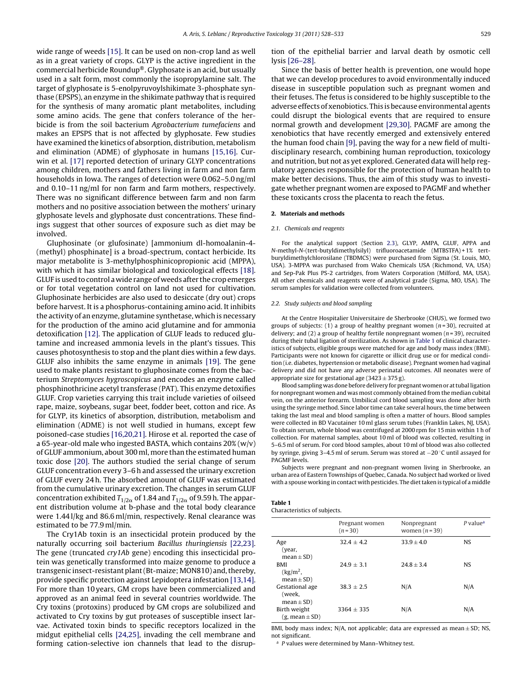<span id="page-1-0"></span>wide range of weeds [\[15\]. I](#page-4-0)t can be used on non-crop land as well as in a great variety of crops. GLYP is the active ingredient in the commercial herbicide Roundup®. Glyphosate is an acid, but usually used in a salt form, most commonly the isopropylamine salt. The target of glyphosate is 5-enolpyruvoylshikimate 3-phosphate synthase (EPSPS), an enzyme in the shikimate pathway that is required for the synthesis of many aromatic plant metabolites, including some amino acids. The gene that confers tolerance of the herbicide is from the soil bacterium Agrobacterium tumefaciens and makes an EPSPS that is not affected by glyphosate. Few studies have examined the kinetics of absorption, distribution, metabolism and elimination (ADME) of glyphosate in humans [\[15,16\].](#page-4-0) Curwin et al. [\[17\]](#page-4-0) reported detection of urinary GLYP concentrations among children, mothers and fathers living in farm and non farm households in Iowa. The ranges of detection were 0.062–5.0 ng/ml and 0.10–11 ng/ml for non farm and farm mothers, respectively. There was no significant difference between farm and non farm mothers and no positive association between the mothers' urinary glyphosate levels and glyphosate dust concentrations. These findings suggest that other sources of exposure such as diet may be involved.

Gluphosinate (or glufosinate) [ammonium dl-homoalanin-4- (methyl) phosphinate] is a broad-spectrum, contact herbicide. Its major metabolite is 3-methylphosphinicopropionic acid (MPPA), with which it has similar biological and toxicological effects [\[18\].](#page-4-0) GLUF is used to control a wide range of weeds after the crop emerges or for total vegetation control on land not used for cultivation. Gluphosinate herbicides are also used to desiccate (dry out) crops before harvest. It is a phosphorus-containing amino acid. It inhibits the activity of an enzyme, glutamine synthetase, which is necessary for the production of the amino acid glutamine and for ammonia detoxification [\[12\]. T](#page-4-0)he application of GLUF leads to reduced glutamine and increased ammonia levels in the plant's tissues. This causes photosynthesis to stop and the plant dies within a few days. GLUF also inhibits the same enzyme in animals [\[19\].](#page-4-0) The gene used to make plants resistant to gluphosinate comes from the bacterium Streptomyces hygroscopicus and encodes an enzyme called phosphinothricine acetyl transferase (PAT). This enzyme detoxifies GLUF. Crop varieties carrying this trait include varieties of oilseed rape, maize, soybeans, sugar beet, fodder beet, cotton and rice. As for GLYP, its kinetics of absorption, distribution, metabolism and elimination (ADME) is not well studied in humans, except few poisoned-case studies [\[16,20,21\]. H](#page-4-0)irose et al. reported the case of a 65-year-old male who ingested BASTA, which contains 20% (w/v) of GLUF ammonium, about 300 ml, more than the estimated human toxic dose [\[20\].](#page-4-0) The authors studied the serial change of serum GLUF concentration every 3–6 h and assessed the urinary excretion of GLUF every 24 h. The absorbed amount of GLUF was estimated from the cumulative urinary excretion. The changes in serum GLUF concentration exhibited  $T_{1/2\alpha}$  of 1.84 and  $T_{1/2\alpha}$  of 9.59 h. The apparent distribution volume at b-phase and the total body clearance were 1.44 l/kg and 86.6 ml/min, respectively. Renal clearance was estimated to be 77.9 ml/min.

The Cry1Ab toxin is an insecticidal protein produced by the naturally occurring soil bacterium Bacillus thuringiensis [\[22,23\].](#page-5-0) The gene (truncated cry1Ab gene) encoding this insecticidal protein was genetically transformed into maize genome to produce a transgenic insect-resistant plant (Bt-maize;MON810) and, thereby, provide specific protection against Lepidoptera infestation [\[13,14\].](#page-4-0) For more than 10 years, GM crops have been commercialized and approved as an animal feed in several countries worldwide. The Cry toxins (protoxins) produced by GM crops are solubilized and activated to Cry toxins by gut proteases of susceptible insect larvae. Activated toxin binds to specific receptors localized in the midgut epithelial cells [\[24,25\],](#page-5-0) invading the cell membrane and forming cation-selective ion channels that lead to the disruption of the epithelial barrier and larval death by osmotic cell lysis [\[26–28\].](#page-5-0)

Since the basis of better health is prevention, one would hope that we can develop procedures to avoid environmentally induced disease in susceptible population such as pregnant women and their fetuses. The fetus is considered to be highly susceptible to the adverse effects of xenobiotics. This is because environmental agents could disrupt the biological events that are required to ensure normal growth and development [\[29,30\].](#page-5-0) PAGMF are among the xenobiotics that have recently emerged and extensively entered the human food chain [\[9\], p](#page-4-0)aving the way for a new field of multidisciplinary research, combining human reproduction, toxicology and nutrition, but not as yet explored. Generated data will help regulatory agencies responsible for the protection of human health to make better decisions. Thus, the aim of this study was to investigate whether pregnant women are exposed to PAGMF and whether these toxicants cross the placenta to reach the fetus.

#### **2. Materials and methods**

#### 2.1. Chemicals and reagents

For the analytical support (Section [2.3\),](#page-2-0) GLYP, AMPA, GLUF, APPA and N-methyl-N-(tert-butyldimethylsilyl) trifluoroacetamide (MTBSTFA) + 1% tertburyldimethylchlorosilane (TBDMCS) were purchased from Sigma (St. Louis, MO, USA). 3-MPPA was purchased from Wako Chemicals USA (Richmond, VA, USA) and Sep-Pak Plus PS-2 cartridges, from Waters Corporation (Milford, MA, USA). All other chemicals and reagents were of analytical grade (Sigma, MO, USA). The serum samples for validation were collected from volunteers.

#### 2.2. Study subjects and blood sampling

At the Centre Hospitalier Universitaire de Sherbrooke (CHUS), we formed two groups of subjects: (1) a group of healthy pregnant women ( $n=30$ ), recruited at delivery; and (2) a group of healthy fertile nonpregnant women ( $n = 39$ ), recruited during their tubal ligation of sterilization. As shown in Table 1 of clinical characteristics of subjects, eligible groups were matched for age and body mass index (BMI). Participants were not known for cigarette or illicit drug use or for medical condition (i.e. diabetes, hypertension or metabolic disease). Pregnant women had vaginal delivery and did not have any adverse perinatal outcomes. All neonates were of appropriate size for gestational age  $(3423 \pm 375$  g).

Blood sampling was done before delivery for pregnant women or at tubal ligation for nonpregnant women and was most commonly obtained from the median cubital vein, on the anterior forearm. Umbilical cord blood sampling was done after birth using the syringe method. Since labor time can take several hours, the time between taking the last meal and blood sampling is often a matter of hours. Blood samples were collected in BD Vacutainer 10 ml glass serum tubes (Franklin Lakes, NJ, USA). To obtain serum, whole blood was centrifuged at 2000 rpm for 15 min within 1 h of collection. For maternal samples, about 10 ml of blood was collected, resulting in 5–6.5 ml of serum. For cord blood samples, about 10 ml of blood was also collected by syringe, giving 3–4.5 ml of serum. Serum was stored at −20 ◦C until assayed for PAGMF levels.

Subjects were pregnant and non-pregnant women living in Sherbrooke, an urban area of Eastern Townships of Quebec, Canada. No subject had worked or lived with a spouse working in contact with pesticides. The diet taken is typical of a middle

## **Table 1**

|                                                       | Pregnant women<br>$(n=30)$ | Nonpregnant<br>women $(n=39)$ | $P$ value <sup>a</sup> |
|-------------------------------------------------------|----------------------------|-------------------------------|------------------------|
| Age<br>(year,<br>$mean \pm SD$ )                      | $32.4 \pm 4.2$             | $33.9 \pm 4.0$                | NS.                    |
| <b>BMI</b><br>(kg/m <sup>2</sup> ,<br>$mean \pm SD$ ) | $24.9 + 3.1$               | $24.8 + 3.4$                  | <b>NS</b>              |
| Gestational age<br>(week,<br>$mean \pm SD$ )          | $38.3 + 2.5$               | N/A                           | N/A                    |
| Birth weight<br>$(g, mean \pm SD)$                    | $3364 + 335$               | N/A                           | N/A                    |

BMI, body mass index;  $N/A$ , not applicable; data are expressed as mean  $\pm$  SD; NS, not significant.

<sup>a</sup> P values were determined by Mann–Whitney test.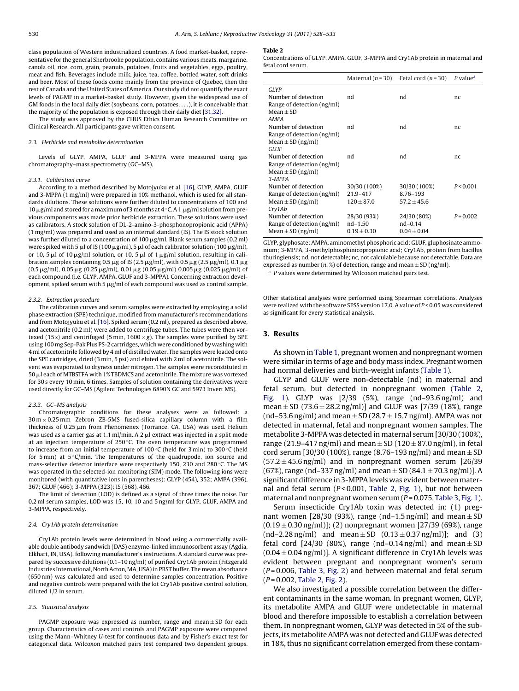<span id="page-2-0"></span>class population of Western industrialized countries. A food market-basket, representative for the general Sherbrooke population, contains various meats, margarine, canola oil, rice, corn, grain, peanuts, potatoes, fruits and vegetables, eggs, poultry, meat and fish. Beverages include milk, juice, tea, coffee, bottled water, soft drinks and beer. Most of these foods come mainly from the province of Quebec, then the rest of Canada and the United States of America. Our study did not quantify the exact levels of PAGMF in a market-basket study. However, given the widespread use of GM foods in the local daily diet (soybeans, corn, potatoes, ...), it is conceivable that the majority of the population is exposed through their daily diet [\[31,32\].](#page-5-0)

The study was approved by the CHUS Ethics Human Research Committee on Clinical Research. All participants gave written consent.

#### 2.3. Herbicide and metabolite determination

Levels of GLYP, AMPA, GLUF and 3-MPPA were measured using gas chromatography–mass spectrometry (GC–MS).

#### 2.3.1. Calibration curve

According to a method described by Motojyuku et al. [\[16\], G](#page-4-0)LYP, AMPA, GLUF and 3-MPPA (1 mg/ml) were prepared in 10% methanol, which is used for all standards dilutions. These solutions were further diluted to concentrations of 100 and  $10 \mu$ g/ml and stored for a maximum of 3 months at  $4 \degree C$ . A 1  $\mu$ g/ml solution from previous components was made prior herbicide extraction. These solutions were used as calibrators. A stock solution of DL-2-amino-3-phosphonopropionic acid (APPA) (1 mg/ml) was prepared and used as an internal standard (IS). The IS stock solution was further diluted to a concentration of  $100 \mu$ g/ml. Blank serum samples (0.2 ml) were spiked with 5  $\mu$ l of IS (100  $\mu$ g/ml), 5  $\mu$ l of each calibrator solution (100  $\mu$ g/ml), or 10, 5  $\mu$ l of 10  $\mu$ g/ml solution, or 10, 5  $\mu$ l of 1  $\mu$ g/ml solution, resulting in calibration samples containing 0.5  $\mu$ g of IS (2.5  $\mu$ g/ml), with 0.5  $\mu$ g (2.5  $\mu$ g/ml), 0.1  $\mu$ g (0.5  $\mu$ g/ml), 0.05  $\mu$ g (0.25  $\mu$ g/ml), 0.01  $\mu$ g (0.05  $\mu$ g/ml) 0.005  $\mu$ g (0.025  $\mu$ g/ml) of each compound (i.e. GLYP, AMPA, GLUF and 3-MPPA). Concerning extraction development, spiked serum with 5  $\mu$ g/ml of each compound was used as control sample.

#### 2.3.2. Extraction procedure

The calibration curves and serum samples were extracted by employing a solid phase extraction (SPE) technique, modified from manufacturer's recommendations and from Motojyuku et al. [\[16\]. S](#page-4-0)piked serum (0.2 ml), prepared as described above, and acetonitrile (0.2 ml) were added to centrifuge tubes. The tubes were then vortexed (15 s) and centrifuged (5 min,  $1600 \times g$ ). The samples were purified by SPE using 100 mg Sep-Pak Plus PS-2 cartridges, which were conditioned by washing with 4 ml of acetonitrile followed by 4 ml of distilled water. The samples were loaded onto the SPE cartridges, dried (3 min, 5 psi) and eluted with 2 ml of acetonitrile. The solvent was evaporated to dryness under nitrogen. The samples were reconstituted in  $50 \mu$ l each of MTBSTFA with 1% TBDMCS and acetonitrile. The mixture was vortexed for 30 s every 10 min, 6 times. Samples of solution containing the derivatives were used directly for GC–MS (Agilent Technologies 6890N GC and 5973 Invert MS).

#### 2.3.3. GC–MS analysis

Chromatographic conditions for these analyses were as followed: a  $30 \text{ m} \times 0.25 \text{ mm}$  Zebron ZB-5MS fused-silica capillary column with a film thickness of  $0.25 \mu m$  from Phenomenex (Torrance, CA, USA) was used. Helium was used as a carrier gas at 1.1 ml/min. A 2  $\mu$ l extract was injected in a split mode at an injection temperature of 250 ◦C. The oven temperature was programmed to increase from an initial temperature of 100 ◦C (held for 3 min) to 300 ◦C (held for 5 min) at  $5^{\circ}$ C/min. The temperatures of the quadrupode, ion source and mass-selective detector interface were respectively 150, 230 and 280 ◦C. The MS was operated in the selected-ion monitoring (SIM) mode. The following ions were monitored (with quantitative ions in parentheses): GLYP (454), 352; AMPA (396), 367; GLUF (466); 3-MPPA (323); IS (568), 466.

The limit of detection (LOD) is defined as a signal of three times the noise. For 0.2 ml serum samples, LOD was 15, 10, 10 and 5 ng/ml for GLYP, GLUF, AMPA and 3-MPPA, respectively.

#### 2.4. Cry1Ab protein determination

Cry1Ab protein levels were determined in blood using a commercially available double antibody sandwich (DAS) enzyme-linked immunosorbent assay (Agdia, Elkhart, IN, USA), following manufacturer's instructions. A standard curve was prepared by successive dilutions (0.1–10 ng/ml) of purified Cry1Ab protein (Fitzgerald Industries International, North Acton,MA, USA) in PBST buffer. The mean absorbance (650 nm) was calculated and used to determine samples concentration. Positive and negative controls were prepared with the kit Cry1Ab positive control solution, diluted 1/2 in serum.

## 2.5. Statistical analysis

PAGMP exposure was expressed as number, range and mean $\pm$ SD for each group. Characteristics of cases and controls and PAGMP exposure were compared using the Mann–Whitney U-test for continuous data and by Fisher's exact test for categorical data. Wilcoxon matched pairs test compared two dependent groups.

#### **Table 2**

Concentrations of GLYP, AMPA, GLUF, 3-MPPA and Cry1Ab protein in maternal and fetal cord serum.

|                                                                                      | Maternal $(n=30)$                          | Fetal cord $(n=30)$                         | P value <sup>a</sup> |
|--------------------------------------------------------------------------------------|--------------------------------------------|---------------------------------------------|----------------------|
| GLYP<br>Number of detection<br>Range of detection (ng/ml)                            | nd                                         | nd                                          | nc                   |
| $Mean + SD$<br><b>AMPA</b><br>Number of detection                                    | nd                                         | nd                                          | nc                   |
| Range of detection (ng/ml)<br>Mean $\pm$ SD (ng/ml)<br><b>GLUF</b>                   |                                            |                                             |                      |
| Number of detection<br>Range of detection (ng/ml)<br>Mean $\pm$ SD (ng/ml)<br>3-MPPA | nd                                         | nd                                          | nc                   |
| Number of detection<br>Range of detection (ng/ml)<br>Mean $\pm$ SD (ng/ml)<br>Cry1Ab | 30/30 (100%)<br>21.9-417<br>$120 \pm 87.0$ | 30/30 (100%)<br>8.76-193<br>$57.2 \pm 45.6$ | P < 0.001            |
| Number of detection<br>Range of detection (ng/ml)<br>Mean $\pm$ SD (ng/ml)           | 28/30 (93%)<br>nd-1.50<br>$0.19 \pm 0.30$  | 24/30 (80%)<br>$nd-0.14$<br>$0.04 \pm 0.04$ | $P = 0.002$          |

GLYP, glyphosate; AMPA, aminomethyl phosphoric acid; GLUF, gluphosinate ammonium; 3-MPPA, 3-methylphosphinicopropionic acid; Cry1Ab, protein from bacillus thuringiensis; nd, not detectable; nc, not calculable because not detectable. Data are expressed as number  $(n, \mathcal{X})$  of detection, range and mean  $\pm$  SD (ng/ml).

<sup>a</sup> P values were determined by Wilcoxon matched pairs test.

Other statistical analyses were performed using Spearman correlations. Analyses were realized with the software SPSS version 17.0. A value of P < 0.05 was considered as significant for every statistical analysis.

## **3. Results**

As shown in [Table 1, p](#page-1-0)regnant women and nonpregnant women were similar in terms of age and body mass index. Pregnant women had normal deliveries and birth-weight infants ([Table 1\).](#page-1-0)

GLYP and GLUF were non-detectable (nd) in maternal and fetal serum, but detected in nonpregnant women (Table 2, [Fig. 1](#page-3-0)). GLYP was [2/39 (5%), range (nd–93.6 ng/ml) and mean  $\pm$  SD (73.6  $\pm$  28.2 ng/ml)] and GLUF was [7/39 (18%), range (nd–53.6 ng/ml) and mean  $\pm$  SD (28.7  $\pm$  15.7 ng/ml). AMPA was not detected in maternal, fetal and nonpregnant women samples. The metabolite 3-MPPA was detected in maternal serum [30/30 (100%), range (21.9–417 ng/ml) and mean  $\pm$  SD (120  $\pm$  87.0 ng/ml), in fetal cord serum [30/30 (100%), range (8.76–193 ng/ml) and mean  $\pm$  SD  $(57.2 \pm 45.6 \,\text{ng/ml})$  and in nonpregnant women serum [26/39] (67%), range (nd–337 ng/ml) and mean  $\pm$  SD (84.1  $\pm$  70.3 ng/ml)]. A significant difference in 3-MPPA levels was evident between maternal and fetal serum ( $P < 0.001$ , Table 2, [Fig. 1\),](#page-3-0) but not between maternal and nonpregnant women serum  $(P=0.075,$  [Table 3,](#page-3-0) [Fig. 1\).](#page-3-0)

Serum insecticide Cry1Ab toxin was detected in: (1) pregnant women [28/30 (93%), range (nd–1.5 ng/ml) and mean  $\pm$  SD  $(0.19 \pm 0.30 \,\text{ng/ml})$ ; (2) nonpregnant women [27/39 (69%), range  $(nd-2.28 ng/ml)$  and mean  $\pm$  SD  $(0.13 \pm 0.37 ng/ml)$ ; and (3) fetal cord [24/30 (80%), range (nd–0.14 ng/ml) and mean  $\pm$  SD  $(0.04 \pm 0.04 \,\text{ng/ml})$ . A significant difference in Cry1Ab levels was evident between pregnant and nonpregnant women's serum  $(P=0.006,$  [Table 3,](#page-3-0) [Fig. 2\)](#page-3-0) and between maternal and fetal serum  $(P = 0.002,$  Table 2, [Fig. 2\).](#page-3-0)

We also investigated a possible correlation between the different contaminants in the same woman. In pregnant women, GLYP, its metabolite AMPA and GLUF were undetectable in maternal blood and therefore impossible to establish a correlation between them. In nonpregnant women, GLYP was detected in 5% of the subjects, its metabolite AMPA was not detected and GLUF was detected in 18%, thus no significant correlation emerged from these contam-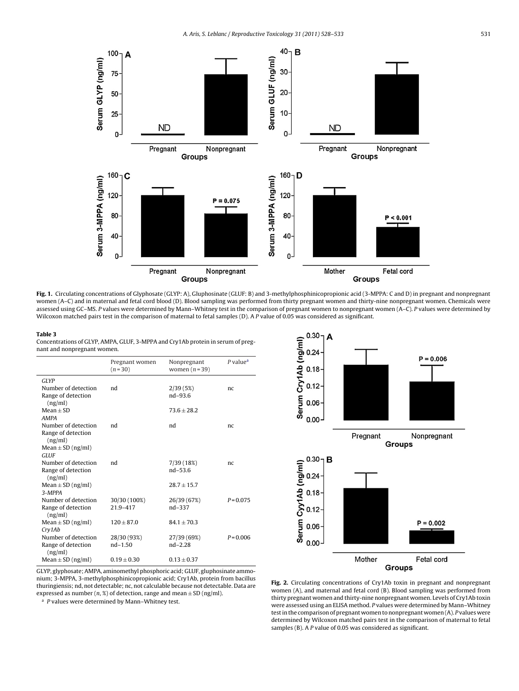<span id="page-3-0"></span>

**Fig. 1.** Circulating concentrations of Glyphosate (GLYP: A), Gluphosinate (GLUF: B) and 3-methylphosphinicopropionic acid (3-MPPA: C and D) in pregnant and nonpregnant women (A-C) and in maternal and fetal cord blood (D). Blood sampling was performed from thirty pregnant women and thirty-nine nonpregnant women. Chemicals were assessed using GC–MS. P values were determined by Mann–Whitney test in the comparison of pregnant women to nonpregnant women (A–C). P values were determined by Wilcoxon matched pairs test in the comparison of maternal to fetal samples (D). A P value of 0.05 was considered as significant.

#### **Table 3**

Concentrations of GLYP, AMPA, GLUF, 3-MPPA and Cry1Ab protein in serum of pregnant and nonpregnant women.

|                               | Pregnant women<br>$(n=30)$ | Nonpregnant<br>women $(n=39)$ | P value <sup>a</sup> |
|-------------------------------|----------------------------|-------------------------------|----------------------|
| <b>GLYP</b>                   |                            |                               |                      |
| Number of detection           | nd                         | 2/39(5%)                      | nc                   |
| Range of detection<br>(ng/ml) |                            | $nd - 93.6$                   |                      |
| $Mean + SD$                   |                            | $73.6 \pm 28.2$               |                      |
| <b>AMPA</b>                   |                            |                               |                      |
| Number of detection           | nd                         | nd                            | nc                   |
| Range of detection            |                            |                               |                      |
| (ng/ml)                       |                            |                               |                      |
| Mean $\pm$ SD (ng/ml)         |                            |                               |                      |
| <b>GLUF</b>                   |                            |                               |                      |
| Number of detection           | nd                         | 7/39 (18%)                    | nc                   |
| Range of detection<br>(ng/ml) |                            | $nd - 53.6$                   |                      |
| Mean $\pm$ SD (ng/ml)         |                            | $28.7 + 15.7$                 |                      |
| 3-MPPA                        |                            |                               |                      |
| Number of detection           | 30/30 (100%)               | 26/39 (67%)                   | $P = 0.075$          |
| Range of detection<br>(ng/ml) | 21.9-417                   | nd-337                        |                      |
| Mean $\pm$ SD (ng/ml)         | $120 \pm 87.0$             | $84.1 \pm 70.3$               |                      |
| Cry1Ab                        |                            |                               |                      |
| Number of detection           | 28/30 (93%)                | 27/39 (69%)                   | $P = 0.006$          |
| Range of detection<br>(ng/ml) | $nd-1.50$                  | $nd - 2.28$                   |                      |
| Mean $\pm$ SD (ng/ml)         | $0.19 \pm 0.30$            | $0.13 \pm 0.37$               |                      |



 $a$  P values were determined by Mann–Whitney test.



**Fig. 2.** Circulating concentrations of Cry1Ab toxin in pregnant and nonpregnant women (A), and maternal and fetal cord (B). Blood sampling was performed from thirty pregnant women and thirty-nine nonpregnant women. Levels of Cry1Ab toxin were assessed using an ELISA method. P values were determined by Mann–Whitney test in the comparison of pregnant women to nonpregnant women (A). P values were determined by Wilcoxon matched pairs test in the comparison of maternal to fetal samples (B). A P value of 0.05 was considered as significant.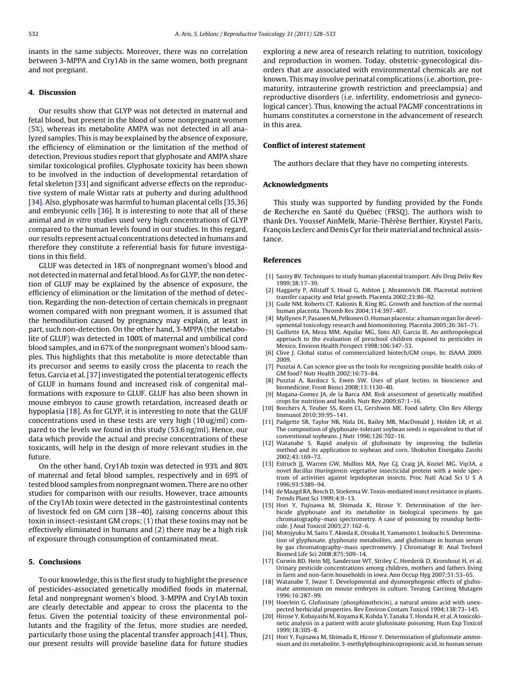<span id="page-4-0"></span>inants in the same subjects. Moreover, there was no correlation between 3-MPPA and Cry1Ab in the same women, both pregnant and not pregnant.

# **4. Discussion**

Our results show that GLYP was not detected in maternal and fetal blood, but present in the blood of some nonpregnant women (5%), whereas its metabolite AMPA was not detected in all analyzed samples. This is may be explained by the absence of exposure, the efficiency of elimination or the limitation of the method of detection. Previous studies report that glyphosate and AMPA share similar toxicological profiles. Glyphosate toxicity has been shown to be involved in the induction of developmental retardation of fetal skeleton [\[33\]](#page-5-0) and significant adverse effects on the reproductive system of male Wistar rats at puberty and during adulthood [\[34\]. A](#page-5-0)lso, glyphosate was harmful to human placental cells [\[35,36\]](#page-5-0) and embryonic cells [\[36\]. I](#page-5-0)t is interesting to note that all of these animal and in vitro studies used very high concentrations of GLYP compared to the human levels found in our studies. In this regard, our results represent actual concentrations detected in humans and therefore they constitute a referential basis for future investigations in this field.

GLUF was detected in 18% of nonpregnant women's blood and not detected in maternal and fetal blood. As for GLYP, the non detection of GLUF may be explained by the absence of exposure, the efficiency of elimination or the limitation of the method of detection. Regarding the non-detection of certain chemicals in pregnant women compared with non pregnant women, it is assumed that the hemodilution caused by pregnancy may explain, at least in part, such non-detection. On the other hand, 3-MPPA (the metabolite of GLUF) was detected in 100% of maternal and umbilical cord blood samples, and in 67% of the nonpregnant women's blood samples. This highlights that this metabolite is more detectable than its precursor and seems to easily cross the placenta to reach the fetus. Garcia et al.[\[37\]in](#page-5-0)vestigated the potential teratogenic effects of GLUF in humans found and increased risk of congenital malformations with exposure to GLUF. GLUF has also been shown in mouse embryos to cause growth retardation, increased death or hypoplasia [18]. As for GLYP, it is interesting to note that the GLUF concentrations used in these tests are very high (10 ug/ml) compared to the levels we found in this study (53.6 ng/ml). Hence, our data which provide the actual and precise concentrations of these toxicants, will help in the design of more relevant studies in the future.

On the other hand, Cry1Ab toxin was detected in 93% and 80% of maternal and fetal blood samples, respectively and in 69% of tested blood samples from nonpregnant women. There are no other studies for comparison with our results. However, trace amounts of the Cry1Ab toxin were detected in the gastrointestinal contents of livestock fed on GM corn [\[38–40\],](#page-5-0) raising concerns about this toxin in insect-resistant GM crops; (1) that these toxins may not be effectively eliminated in humans and (2) there may be a high risk of exposure through consumption of contaminated meat.

# **5. Conclusions**

To our knowledge, this is the first study to highlight the presence of pesticides-associated genetically modified foods in maternal, fetal and nonpregnant women's blood. 3-MPPA and Cry1Ab toxin are clearly detectable and appear to cross the placenta to the fetus. Given the potential toxicity of these environmental pollutants and the fragility of the fetus, more studies are needed, particularly those using the placental transfer approach [\[41\]. T](#page-5-0)hus, our present results will provide baseline data for future studies exploring a new area of research relating to nutrition, toxicology and reproduction in women. Today, obstetric-gynecological disorders that are associated with environmental chemicals are not known. This may involve perinatal complications (i.e. abortion, prematurity, intrauterine growth restriction and preeclampsia) and reproductive disorders (i.e. infertility, endometriosis and gynecological cancer). Thus, knowing the actual PAGMF concentrations in humans constitutes a cornerstone in the advancement of research in this area.

# **Conflict of interest statement**

The authors declare that they have no competing interests.

## **Acknowledgments**

This study was supported by funding provided by the Fonds de Recherche en Santé du Québec (FRSQ). The authors wish to thank Drs. Youssef AinMelk, Marie-Thérèse Berthier, Krystel Paris, François Leclerc and Denis Cyr for their material and technical assistance.

# **References**

- [1] Sastry BV. Techniques to study human placental transport. Adv Drug Deliv Rev 1999;38:17–39.
- [2] Haggarty P, Allstaff S, Hoad G, Ashton J, Abramovich DR. Placental nutrient transfer capacity and fetal growth. Placenta 2002;23:86–92.
- [3] Gude NM, Roberts CT, Kalionis B, King RG. Growth and function of the normal human placenta. Thromb Res 2004;114:397–407.
- [4] Myllynen P, Pasanen M, Pelkonen O. Human placenta: a human organ for developmental toxicology research and biomonitoring. Placenta 2005;26:361–71.
- [5] Guillette EA, Meza MM, Aquilar MG, Soto AD, Garcia IE. An anthropological approach to the evaluation of preschool children exposed to pesticides in Mexico. Environ Health Perspect 1998;106:347–53.
- [6] Clive J. Global status of commercialized biotech/GM crops. In: ISAAA 2009. 2009.
- [7] Pusztai A. Can science give us the tools for recognizing possible health risks of GM food? Nutr Health 2002;16:73–84.
- [8] Pusztai A, Bardocz S, Ewen SW. Uses of plant lectins in bioscience and biomedicine. Front Biosci 2008;13:1130–40.
- [9] Magana-Gomez JA, de la Barca AM. Risk assessment of genetically modified crops for nutrition and health. Nutr Rev 2009;67:1–16.
- [10] Borchers A, Teuber SS, Keen CL, Gershwin ME. Food safety. Clin Rev Allergy Immunol 2010;39:95–141.
- [11] Padgette SR, Taylor NB, Nida DL, Bailey MR, MacDonald J, Holden LR, et al. The composition of glyphosate-tolerant soybean seeds is equivalent to that of conventional soybeans. J Nutr 1996;126:702–16.
- [12] Watanabe S. Rapid analysis of glufosinate by improving the bulletin method and its application to soybean and corn. Shokuhin Eiseigaku Zasshi 2002;43:169–72.
- [13] Estruch JJ, Warren GW, Mullins MA, Nye GJ, Craig JA, Koziel MG. Vip3A, a novel Bacillus thuringiensis vegetative insecticidal protein with a wide spectrum of activities against lepidopteran insects. Proc Natl Acad Sci U S A 1996;93:5389–94.
- [14] de Maagd RA, Bosch D, Stiekema W. Toxin-mediated insect resistance in plants. Trends Plant Sci 1999;4:9–13.
- [15] Hori Y, Fujisawa M, Shimada K, Hirose Y. Determination of the herbicide glyphosate and its metabolite in biological specimens by gas chromatography–mass spectrometry. A case of poisoning by roundup herbicide. J Anal Toxicol 2003;27:162–6.
- [16] Motojyuku M, Saito T, Akieda K, Otsuka H, Yamamoto I, Inokuchi S. Determination of glyphosate, glyphosate metabolites, and glufosinate in human serum by gas chromatography–mass spectrometry. J Chromatogr B: Anal Technol Biomed Life Sci 2008;875:509–14.
- [17] Curwin BD, Hein MJ, Sanderson WT, Striley C, Heederik D, Kromhout H, et al. Urinary pesticide concentrations among children, mothers and fathers living in farm and non-farm households in iowa. Ann Occup Hyg 2007;51:53–65.
- [18] Watanabe T, Iwase T. Developmental and dysmorphogenic effects of glufosinate ammonium on mouse embryos in culture. Teratog Carcinog Mutagen 1996;16:287–99.
- [19] Hoerlein G. Glufosinate (phosphinothricin), a natural amino acid with unexpected herbicidal properties. Rev Environ Contam Toxicol 1994;138:73–145.
- [20] Hirose Y, Kobayashi M, Koyama K, Kohda Y, Tanaka T, Honda H, et al. A toxicokinetic analysis in a patient with acute glufosinate poisoning. Hum Exp Toxicol 1999;18:305–8.
- [21] Hori Y, Fujisawa M, Shimada K, Hirose Y. Determination of glufosinate ammonium and its metabolite, 3-methylphosphinicopropionic acid, in human serum